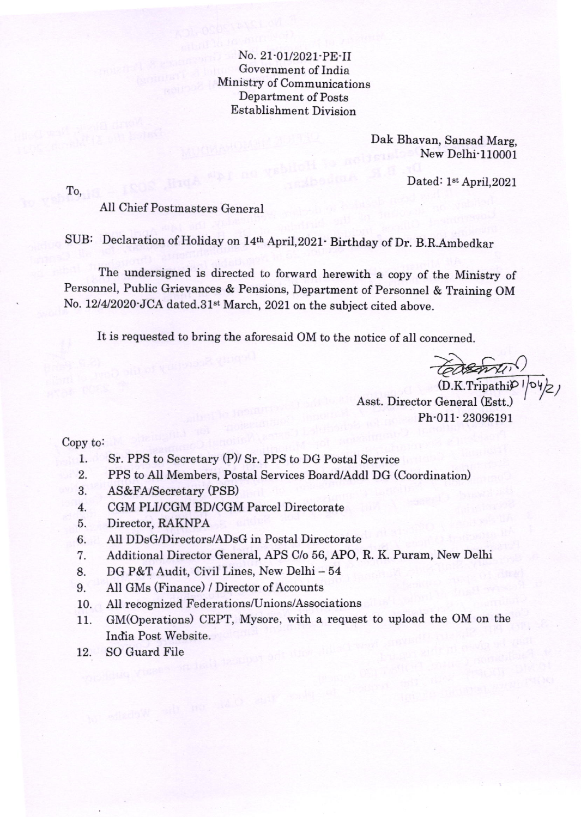No. 21-01/2021-PE-II Government of India Ministry of Communications Department of Posts Establishment Division

> Dak Bhavan, Sansad Marg, New Delhi-110001

> > Dated: 1<sup>st</sup> April, 2021

To,

All Chief Postmasters General

SUB: Declaration of Holiday on 14th April,2021- Birthday of Dr. B.R.Ambedkar

The undersigned is directed to forward herewith a copy of the Ministry of Personnel, Public Grievances & Pensions, Department of Personnel & Training OM No. 12/4/2020 JCA dated.31<sup>st</sup> March, 2021 on the subject cited above.

It is requested to bring the aforesaid OM to the notice of all concerned.

(D.K.Tripathi<sup>p</sup>)<br>(D.K.Tripathip)<br>Asst. Director General (Estt.) Ph-011-23096191

Copy to

- Sr. PPS to Secretary (P)/ Sr. PPS to DG Postal Service 1.
- PPS to All Members, Postal Services Board/Addl DG (Coordination) 2.
- AS&FA/Secretary (PSB) 3.
- CGM PLI/CGM BD/CGM Parcel Directorate 4.
- Director, RAKNPA 5.
- All DDsG/Directors/ADsG in Postal Directorate 6.
- Additional Director General, APS C/o 56, APO, R. K. Puram, New Delhi 7.
- DG P&T Audit, Civil Lines, New Delhi <sup>54</sup> 8.
- Atl GMs (Finance) / Director of Accounts <sup>9.</sup>
- All recognized Federations/Unions/Associations 10.
- GM(Operations) CEPT, Mysore, with a request to upload the OM on the India Post Website. 11.
- SO Guard File 72.